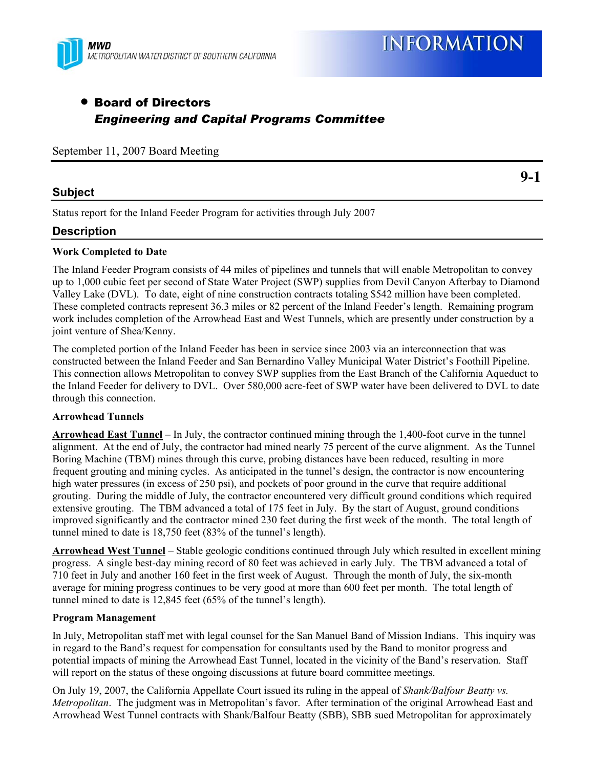

**9-1** 

# • Board of Directors *Engineering and Capital Programs Committee*

September 11, 2007 Board Meeting

### **Subject**

Status report for the Inland Feeder Program for activities through July 2007

## **Description**

#### **Work Completed to Date**

The Inland Feeder Program consists of 44 miles of pipelines and tunnels that will enable Metropolitan to convey up to 1,000 cubic feet per second of State Water Project (SWP) supplies from Devil Canyon Afterbay to Diamond Valley Lake (DVL). To date, eight of nine construction contracts totaling \$542 million have been completed. These completed contracts represent 36.3 miles or 82 percent of the Inland Feeder's length. Remaining program work includes completion of the Arrowhead East and West Tunnels, which are presently under construction by a joint venture of Shea/Kenny.

The completed portion of the Inland Feeder has been in service since 2003 via an interconnection that was constructed between the Inland Feeder and San Bernardino Valley Municipal Water District's Foothill Pipeline. This connection allows Metropolitan to convey SWP supplies from the East Branch of the California Aqueduct to the Inland Feeder for delivery to DVL. Over 580,000 acre-feet of SWP water have been delivered to DVL to date through this connection.

#### **Arrowhead Tunnels**

**Arrowhead East Tunnel** – In July, the contractor continued mining through the 1,400-foot curve in the tunnel alignment. At the end of July, the contractor had mined nearly 75 percent of the curve alignment. As the Tunnel Boring Machine (TBM) mines through this curve, probing distances have been reduced, resulting in more frequent grouting and mining cycles. As anticipated in the tunnel's design, the contractor is now encountering high water pressures (in excess of 250 psi), and pockets of poor ground in the curve that require additional grouting. During the middle of July, the contractor encountered very difficult ground conditions which required extensive grouting. The TBM advanced a total of 175 feet in July. By the start of August, ground conditions improved significantly and the contractor mined 230 feet during the first week of the month. The total length of tunnel mined to date is 18,750 feet (83% of the tunnel's length).

**Arrowhead West Tunnel** – Stable geologic conditions continued through July which resulted in excellent mining progress. A single best-day mining record of 80 feet was achieved in early July. The TBM advanced a total of 710 feet in July and another 160 feet in the first week of August. Through the month of July, the six-month average for mining progress continues to be very good at more than 600 feet per month. The total length of tunnel mined to date is 12,845 feet (65% of the tunnel's length).

#### **Program Management**

In July, Metropolitan staff met with legal counsel for the San Manuel Band of Mission Indians. This inquiry was in regard to the Band's request for compensation for consultants used by the Band to monitor progress and potential impacts of mining the Arrowhead East Tunnel, located in the vicinity of the Band's reservation. Staff will report on the status of these ongoing discussions at future board committee meetings.

On July 19, 2007, the California Appellate Court issued its ruling in the appeal of *Shank/Balfour Beatty vs. Metropolitan*. The judgment was in Metropolitan's favor. After termination of the original Arrowhead East and Arrowhead West Tunnel contracts with Shank/Balfour Beatty (SBB), SBB sued Metropolitan for approximately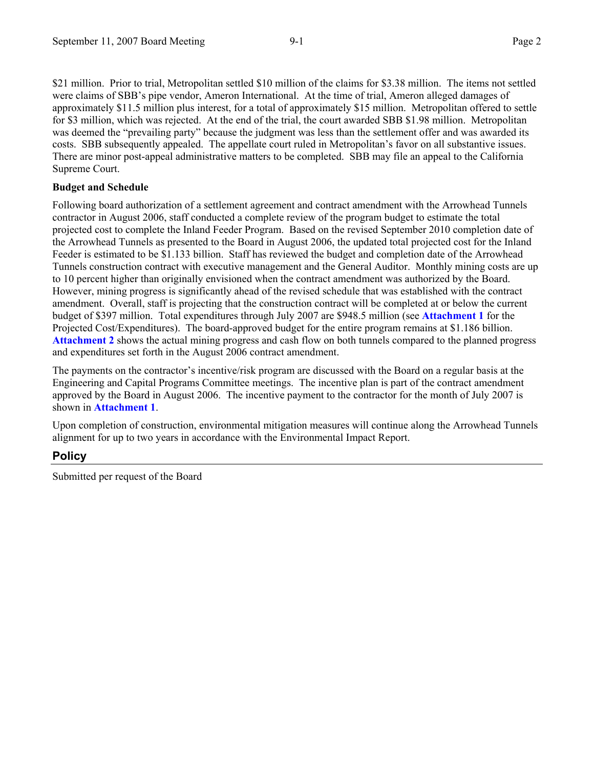\$21 million. Prior to trial, Metropolitan settled \$10 million of the claims for \$3.38 million. The items not settled were claims of SBB's pipe vendor, Ameron International. At the time of trial, Ameron alleged damages of approximately \$11.5 million plus interest, for a total of approximately \$15 million. Metropolitan offered to settle for \$3 million, which was rejected. At the end of the trial, the court awarded SBB \$1.98 million. Metropolitan was deemed the "prevailing party" because the judgment was less than the settlement offer and was awarded its costs. SBB subsequently appealed. The appellate court ruled in Metropolitan's favor on all substantive issues. There are minor post-appeal administrative matters to be completed. SBB may file an appeal to the California Supreme Court.

#### **Budget and Schedule**

Following board authorization of a settlement agreement and contract amendment with the Arrowhead Tunnels contractor in August 2006, staff conducted a complete review of the program budget to estimate the total projected cost to complete the Inland Feeder Program. Based on the revised September 2010 completion date of the Arrowhead Tunnels as presented to the Board in August 2006, the updated total projected cost for the Inland Feeder is estimated to be \$1.133 billion. Staff has reviewed the budget and completion date of the Arrowhead Tunnels construction contract with executive management and the General Auditor. Monthly mining costs are up to 10 percent higher than originally envisioned when the contract amendment was authorized by the Board. However, mining progress is significantly ahead of the revised schedule that was established with the contract amendment. Overall, staff is projecting that the construction contract will be completed at or below the current budget of \$397 million. Total expenditures through July 2007 are \$948.5 million (see **Attachment 1** for the Projected Cost/Expenditures). The board-approved budget for the entire program remains at \$1.186 billion. **Attachment 2** shows the actual mining progress and cash flow on both tunnels compared to the planned progress and expenditures set forth in the August 2006 contract amendment.

The payments on the contractor's incentive/risk program are discussed with the Board on a regular basis at the Engineering and Capital Programs Committee meetings. The incentive plan is part of the contract amendment approved by the Board in August 2006. The incentive payment to the contractor for the month of July 2007 is shown in **Attachment 1**.

Upon completion of construction, environmental mitigation measures will continue along the Arrowhead Tunnels alignment for up to two years in accordance with the Environmental Impact Report.

# **Policy**

Submitted per request of the Board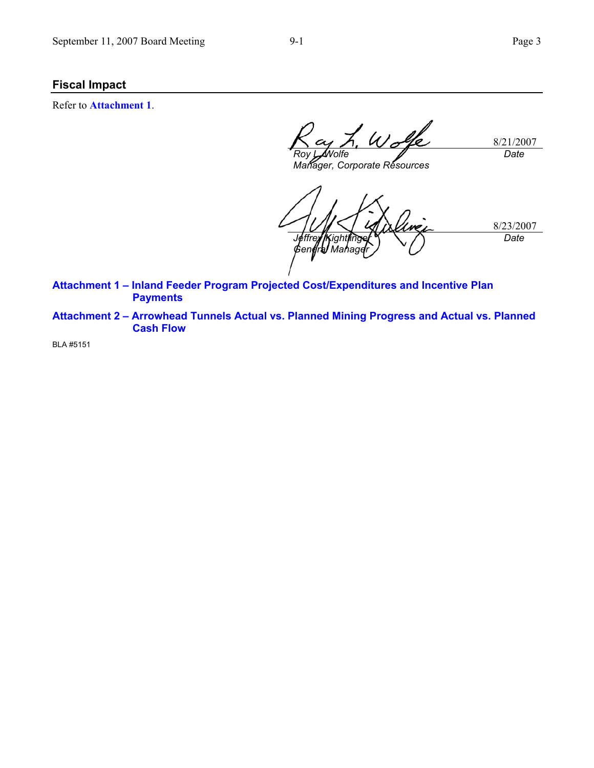## **Fiscal Impact**

Refer to **Attachment 1**.

8/21/2007 *Roy L. Wolfe Date* 

*Manager, Corporate Resources* 

8/23/2007 *Jeffrey Kightlinger General Manager Date* 

**Attachment 1 – Inland Feeder Program Projected Cost/Expenditures and Incentive Plan Payments** 

**Attachment 2 – Arrowhead Tunnels Actual vs. Planned Mining Progress and Actual vs. Planned Cash Flow** 

BLA #5151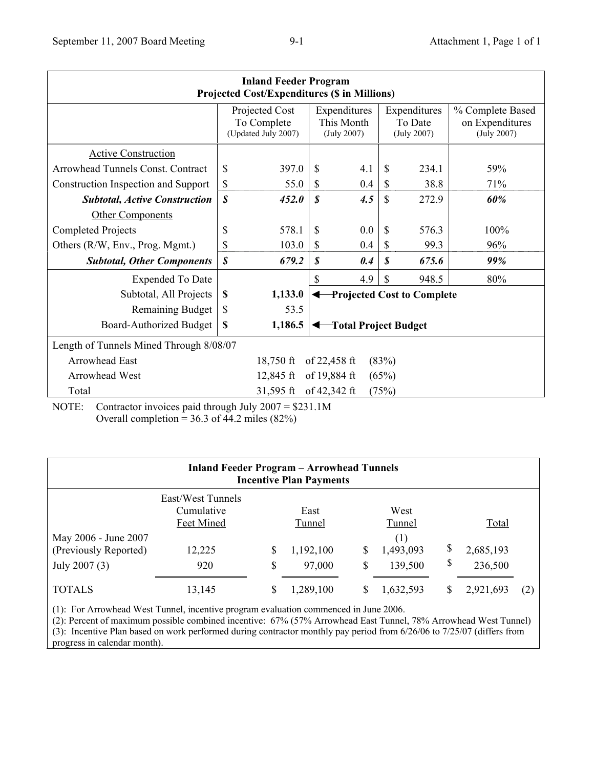| <b>Inland Feeder Program</b><br><b>Projected Cost/Expenditures (\$ in Millions)</b> |                                                      |         |                                           |     |                                        |       |                                                    |  |  |  |  |  |
|-------------------------------------------------------------------------------------|------------------------------------------------------|---------|-------------------------------------------|-----|----------------------------------------|-------|----------------------------------------------------|--|--|--|--|--|
|                                                                                     | Projected Cost<br>To Complete<br>(Updated July 2007) |         | Expenditures<br>This Month<br>(July 2007) |     | Expenditures<br>To Date<br>(July 2007) |       | % Complete Based<br>on Expenditures<br>(July 2007) |  |  |  |  |  |
| <b>Active Construction</b>                                                          |                                                      |         |                                           |     |                                        |       |                                                    |  |  |  |  |  |
| Arrowhead Tunnels Const. Contract                                                   | \$                                                   | 397.0   | \$                                        | 4.1 | S                                      | 234.1 | 59%                                                |  |  |  |  |  |
| Construction Inspection and Support                                                 | \$                                                   | 55.0    | \$                                        | 0.4 | \$                                     | 38.8  | 71%                                                |  |  |  |  |  |
| <b>Subtotal, Active Construction</b>                                                | \$                                                   | 452.0   | S                                         | 4.5 | \$                                     | 272.9 | 60%                                                |  |  |  |  |  |
| <b>Other Components</b>                                                             |                                                      |         |                                           |     |                                        |       |                                                    |  |  |  |  |  |
| <b>Completed Projects</b>                                                           | \$                                                   | 578.1   | \$                                        | 0.0 | \$                                     | 576.3 | 100%                                               |  |  |  |  |  |
| Others (R/W, Env., Prog. Mgmt.)                                                     | \$                                                   | 103.0   | S                                         | 0.4 | \$                                     | 99.3  | 96%                                                |  |  |  |  |  |
| <b>Subtotal, Other Components</b>                                                   | \$                                                   | 679.2   | S                                         | 0.4 | S                                      | 675.6 | 99%                                                |  |  |  |  |  |
| <b>Expended To Date</b>                                                             |                                                      |         | $\mathbf S$                               | 4.9 | \$                                     | 948.5 | 80%                                                |  |  |  |  |  |
| Subtotal, All Projects                                                              | \$<br>1,133.0                                        |         | <b>Projected Cost to Complete</b>         |     |                                        |       |                                                    |  |  |  |  |  |
| <b>Remaining Budget</b>                                                             | \$                                                   | 53.5    |                                           |     |                                        |       |                                                    |  |  |  |  |  |
| <b>Board-Authorized Budget</b>                                                      | \$                                                   | 1,186.5 | Total Project Budget                      |     |                                        |       |                                                    |  |  |  |  |  |
| Length of Tunnels Mined Through 8/08/07                                             |                                                      |         |                                           |     |                                        |       |                                                    |  |  |  |  |  |
| <b>Arrowhead East</b><br>(83%)<br>$18,750$ ft<br>of $22,458$ ft                     |                                                      |         |                                           |     |                                        |       |                                                    |  |  |  |  |  |
| of 19,884 ft<br><b>Arrowhead West</b><br>12,845 ft<br>(65%)                         |                                                      |         |                                           |     |                                        |       |                                                    |  |  |  |  |  |
| of 42,342 ft<br>Total<br>$31,595$ ft<br>(75%)                                       |                                                      |         |                                           |     |                                        |       |                                                    |  |  |  |  |  |

NOTE: Contractor invoices paid through July 2007 = \$231.1M Overall completion =  $36.3$  of 44.2 miles (82%)

| <b>Inland Feeder Program – Arrowhead Tunnels</b><br><b>Incentive Plan Payments</b> |                                                                |          |                                       |          |                                               |    |                               |  |  |  |  |  |  |  |
|------------------------------------------------------------------------------------|----------------------------------------------------------------|----------|---------------------------------------|----------|-----------------------------------------------|----|-------------------------------|--|--|--|--|--|--|--|
| May 2006 - June 2007<br>(Previously Reported)<br>July 2007 (3)                     | East/West Tunnels<br>Cumulative<br>Feet Mined<br>12,225<br>920 | \$<br>\$ | East<br>Tunnel<br>1,192,100<br>97,000 | \$<br>\$ | West<br>Tunnel<br>(1)<br>1,493,093<br>139,500 | \$ | Total<br>2,685,193<br>236,500 |  |  |  |  |  |  |  |
| <b>TOTALS</b>                                                                      | 13,145                                                         | S        | 1,289,100                             |          | 1,632,593                                     |    | 2,921,693                     |  |  |  |  |  |  |  |

(1): For Arrowhead West Tunnel, incentive program evaluation commenced in June 2006.

(2): Percent of maximum possible combined incentive: 67% (57% Arrowhead East Tunnel, 78% Arrowhead West Tunnel) (3): Incentive Plan based on work performed during contractor monthly pay period from 6/26/06 to 7/25/07 (differs from

progress in calendar month).